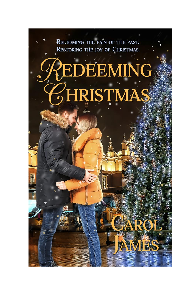REDEEMING THE PAIN OF THE PAST. RESTORING THE JOY OF CHRISTMAS.

# EDEEMING HRISTMAS

AWP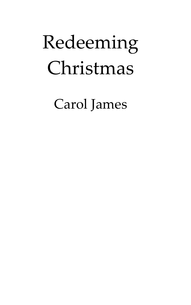## Redeeming Christmas

Carol James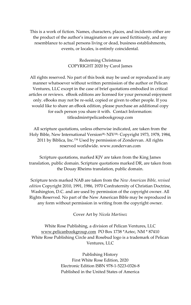This is a work of fiction. Names, characters, places, and incidents either are the product of the author's imagination or are used fictitiously, and any resemblance to actual persons living or dead, business establishments, events, or locales, is entirely coincidental.

> Redeeming Christmas COPYRIGHT 2020 by Carol James

All rights reserved. No part of this book may be used or reproduced in any manner whatsoever without written permission of the author or Pelican Ventures, LLC except in the case of brief quotations embodied in critical articles or reviews. eBook editions are licensed for your personal enjoyment only. eBooks may not be re-sold, copied or given to other people. If you would like to share an eBook edition, please purchase an additional copy for each person you share it with. Contact Information: titleadmin@pelicanbookgroup.com

All scripture quotations, unless otherwise indicated, are taken from the Holy Bible, New International Version<sup>(R),</sup> NIV<sup>(R),</sup> Copyright 1973, 1978, 1984, 2011 by Biblica, Inc.<sup>™</sup> Used by permission of Zondervan. All rights reserved worldwide. www.zondervan.com

Scripture quotations, marked KJV are taken from the King James translation, public domain. Scripture quotations marked DR, are taken from the Douay Rheims translation, public domain.

Scripture texts marked NAB are taken from the *New American Bible, revised edition* Copyright 2010, 1991, 1986, 1970 Confraternity of Christian Doctrine, Washington, D.C. and are used by permission of the copyright owner. All Rights Reserved. No part of the New American Bible may be reproduced in any form without permission in writing from the copyright owner.

Cover Art by *Nicola Martinez*

White Rose Publishing, a division of Pelican Ventures, LLC [www.pelicanbookgroup.com](http://www.pelicanbookgroup.com/) PO Box 1738 \*Aztec, NM \* 87410 White Rose Publishing Circle and Rosebud logo is a trademark of Pelican Ventures, LLC

> Publishing History First White Rose Edition, 2020 Electronic Edition ISBN 978-1-5223-0326-8 Published in the United States of America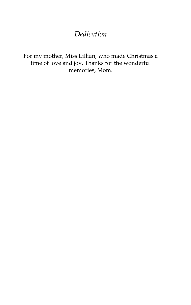#### *Dedication*

For my mother, Miss Lillian, who made Christmas a time of love and joy. Thanks for the wonderful memories, Mom.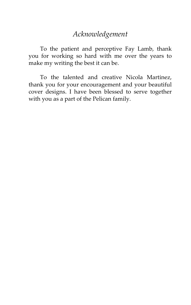#### *Acknowledgement*

To the patient and perceptive Fay Lamb, thank you for working so hard with me over the years to make my writing the best it can be.

To the talented and creative Nicola Martinez, thank you for your encouragement and your beautiful cover designs. I have been blessed to serve together with you as a part of the Pelican family.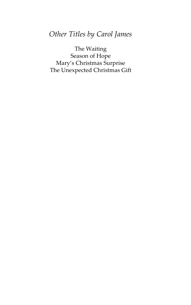#### *Other Titles by Carol James*

The Waiting Season of Hope Mary's Christmas Surprise The Unexpected Christmas Gift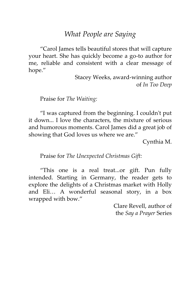#### *What People are Saying*

'Carol James tells beautiful stores that will capture your heart. She has quickly become a go-to author for me, reliable and consistent with a clear message of hope.'

> Stacey Weeks, award-winning author of *In Too Deep*

Praise for *The Waiting:* 

'I was captured from the beginning. I couldn't put it down... I love the characters, the mixture of serious and humorous moments. Carol James did a great job of showing that God loves us where we are.'

Cynthia M.

Praise for *The Unexpected Christmas Gift:* 

'This one is a real treat...or gift. Pun fully intended. Starting in Germany, the reader gets to explore the delights of a Christmas market with Holly and Eli… A wonderful seasonal story, in a box wrapped with bow.'

> Clare Revell, author of the *Say a Prayer* Series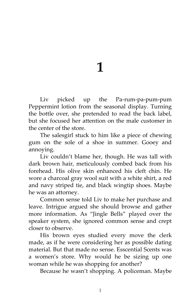## **1**

Liv picked up the Pa-rum-pa-pum-pum Peppermint lotion from the seasonal display. Turning the bottle over, she pretended to read the back label, but she focused her attention on the male customer in the center of the store.

The salesgirl stuck to him like a piece of chewing gum on the sole of a shoe in summer. Gooey and annoying.

Liv couldn't blame her, though. He was tall with dark brown hair, meticulously combed back from his forehead. His olive skin enhanced his cleft chin. He wore a charcoal gray wool suit with a white shirt, a red and navy striped tie, and black wingtip shoes. Maybe he was an attorney.

Common sense told Liv to make her purchase and leave. Intrigue argued she should browse and gather more information. As 'Jingle Bells' played over the speaker system, she ignored common sense and crept closer to observe.

His brown eyes studied every move the clerk made, as if he were considering her as possible dating material. But that made no sense. Esscential Scents was a women's store. Why would he be sizing up one woman while he was shopping for another?

Because he wasn't shopping. A policeman. Maybe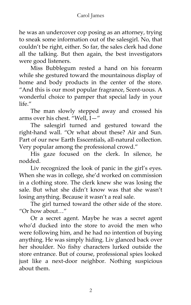#### Carol James

he was an undercover cop posing as an attorney, trying to sneak some information out of the salesgirl. No, that couldn't be right, either. So far, the sales clerk had done all the talking. But then again, the best investigators were good listeners.

Miss Bubblegum rested a hand on his forearm while she gestured toward the mountainous display of home and body products in the center of the store. 'And this is our most popular fragrance, Scent-uous. A wonderful choice to pamper that special lady in your  $l$ ife $\mu$ 

The man slowly stepped away and crossed his arms over his chest. 'Well, I—'

The salesgirl turned and gestured toward the right-hand wall. 'Or what about these? Air and Sun. Part of our new Earth Esscentials, all-natural collection. Very popular among the professional crowd.'

His gaze focused on the clerk. In silence, he nodded.

Liv recognized the look of panic in the girl's eyes. When she was in college, she'd worked on commission in a clothing store. The clerk knew she was losing the sale. But what she didn't know was that she wasn't losing anything. Because it wasn't a real sale.

The girl turned toward the other side of the store. 'Or how about…'

Or a secret agent. Maybe he was a secret agent who'd ducked into the store to avoid the men who were following him, and he had no intention of buying anything. He was simply hiding. Liv glanced back over her shoulder. No fishy characters lurked outside the store entrance. But of course, professional spies looked just like a next-door neighbor. Nothing suspicious about them.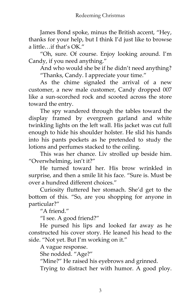James Bond spoke, minus the British accent, 'Hey, thanks for your help, but I think I'd just like to browse a little  $\mathcal{A}$  if that's OK<sup>"</sup>

'Oh, sure. Of course. Enjoy looking around. I'm Candy, if you need anything.'

And who would she be if he didn't need anything? 'Thanks, Candy. I appreciate your time.'

As the chime signaled the arrival of a new customer, a new male customer, Candy dropped 007 like a sun-scorched rock and scooted across the store toward the entry.

The spy wandered through the tables toward the display framed by evergreen garland and white twinkling lights on the left wall. His jacket was cut full enough to hide his shoulder holster. He slid his hands into his pants pockets as he pretended to study the lotions and perfumes stacked to the ceiling.

This was her chance. Liv strolled up beside him. 'Overwhelming, isn't it?'

He turned toward her. His brow wrinkled in surprise, and then a smile lit his face. "Sure is. Must be over a hundred different choices.'

Curiosity fluttered her stomach. She'd get to the bottom of this. 'So, are you shopping for anyone in particular?'

"A friend."

'I see. A good friend?'

He pursed his lips and looked far away as he constructed his cover story. He leaned his head to the side. 'Not yet. But I'm working on it.'

A vague response.

She nodded. "Age?"

'Mine?' He raised his eyebrows and grinned.

Trying to distract her with humor. A good ploy.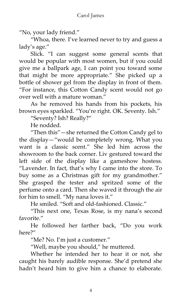'No, your lady friend.'

'Whoa, there. I've learned never to try and guess a lady's age.'

Slick. 'I can suggest some general scents that would be popular with most women, but if you could give me a ballpark age, I can point you toward some that might be more appropriate.' She picked up a bottle of shower gel from the display in front of them. 'For instance, this Cotton Candy scent would not go over well with a mature woman"

As he removed his hands from his pockets, his brown eyes sparkled. 'You're right. OK. Seventy. Ish.'

'Seventy? Ish? Really?'

He nodded.

'Then this'—she returned the Cotton Candy gel to the display—'would be completely wrong. What you want is a classic scent.' She led him across the showroom to the back corner. Liv gestured toward the left side of the display like a gameshow hostess. 'Lavender. In fact, that's why I came into the store. To buy some as a Christmas gift for my grandmother.' She grasped the tester and spritzed some of the perfume onto a card. Then she waved it through the air for him to smell. "My nana loves it."

He smiled. 'Soft and old-fashioned. Classic.'

'This next one, Texas Rose, is my nana's second favorite"

He followed her farther back, 'Do you work here?'

'Me? No. I'm just a customer.'

'Well, maybe you should,' he muttered.

Whether he intended her to hear it or not, she caught his barely audible response. She'd pretend she hadn't heard him to give him a chance to elaborate.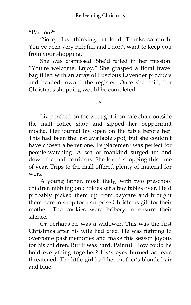'Pardon?'

'Sorry. Just thinking out loud. Thanks so much. You've been very helpful, and I don't want to keep you from your shopping.'

She was dismissed. She'd failed in her mission. 'You're welcome. Enjoy.' She grasped a floral travel bag filled with an array of Luscious Lavender products and headed toward the register. Once she paid, her Christmas shopping would be completed.

~\*~

Liv perched on the wrought-iron cafe chair outside the mall coffee shop and sipped her peppermint mocha. Her journal lay open on the table before her. This had been the last available spot, but she couldn't have chosen a better one. Its placement was perfect for people-watching. A sea of mankind surged up and down the mall corridors. She loved shopping this time of year. Trips to the mall offered plenty of material for work.

A young father, most likely, with two preschool children nibbling on cookies sat a few tables over. He'd probably picked them up from daycare and brought them here to shop for a surprise Christmas gift for their mother. The cookies were bribery to ensure their silence.

Or perhaps he was a widower. This was the first Christmas after his wife had died. He was fighting to overcome past memories and make this season joyous for his children. But it was hard. Painful. How could he hold everything together? Liv's eyes burned as tears threatened. The little girl had her mother's blonde hair and blue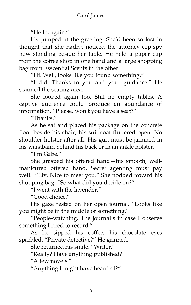'Hello, again.'

Liv jumped at the greeting. She'd been so lost in thought that she hadn't noticed the attorney-cop-spy now standing beside her table. He held a paper cup from the coffee shop in one hand and a large shopping bag from Esscential Scents in the other.

'Hi. Well, looks like you found something.'

'I did. Thanks to you and your guidance.' He scanned the seating area.

She looked again too. Still no empty tables. A captive audience could produce an abundance of information. 'Please, won't you have a seat?'

'Thanks.'

As he sat and placed his package on the concrete floor beside his chair, his suit coat fluttered open. No shoulder holster after all. His gun must be jammed in his waistband behind his back or in an ankle holster.

"I'm Gabe."

She grasped his offered hand—his smooth, wellmanicured offered hand. Secret agenting must pay well. 'Liv. Nice to meet you.' She nodded toward his shopping bag. "So what did you decide on?"

 $\overline{r}$ I went with the lavender."

"Good choice"

His gaze rested on her open journal. 'Looks like you might be in the middle of something.'

'People-watching. The journal's in case I observe something I need to record.'

As he sipped his coffee, his chocolate eyes sparkled. 'Private detective?' He grinned.

She returned his smile. 'Writer.'

'Really? Have anything published?'

"A few novels."

'Anything I might have heard of?'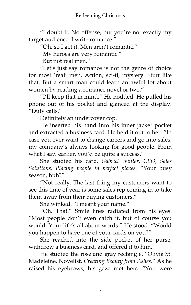'I doubt it. No offense, but you're not exactly my target audience. I write romance.'

'Oh, so I get it. Men aren't romantic.'

'My heroes are very romantic.'

'But not real men.'

'Let's just say romance is not the genre of choice for most 'real' men. Action, sci-fi, mystery. Stuff like that. But a smart man could learn an awful lot about women by reading a romance novel or two."

'I'll keep that in mind.' He nodded. He pulled his phone out of his pocket and glanced at the display. "Duty calls."

Definitely an undercover cop.

He inserted his hand into his inner jacket pocket and extracted a business card. He held it out to her. "In case you ever want to change careers and go into sales, my company's always looking for good people. From what I saw earlier, you'd be quite a success."

She studied his card. *Gabriel Winter, CEO, Sales Solutions, Placing people in perfect places.* 'Your busy season, huh?'

'Not really. The last thing my customers want to see this time of year is some sales rep coming in to take them away from their buying customers.'

She winked. 'I meant your name.'

'Oh. That.' Smile lines radiated from his eyes. 'Most people don't even catch it, but of course you would. Your life's all about words.' He stood. 'Would you happen to have one of your cards on you?'

She reached into the side pocket of her purse, withdrew a business card, and offered it to him.

He studied the rose and gray rectangle. 'Olivia St. Madeleine, Novelist, *Creating Beauty from Ashes*.' As he raised his eyebrows, his gaze met hers. 'You were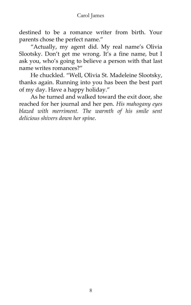destined to be a romance writer from birth. Your parents chose the perfect name.'

'Actually, my agent did. My real name's Olivia Slootsky. Don't get me wrong. It's a fine name, but I ask you, who's going to believe a person with that last name writes romances?'

He chuckled. 'Well, Olivia St. Madeleine Slootsky, thanks again. Running into you has been the best part of my day. Have a happy holiday.'

As he turned and walked toward the exit door, she reached for her journal and her pen. *His mahogany eyes blazed with merriment. The warmth of his smile sent delicious shivers down her spine*.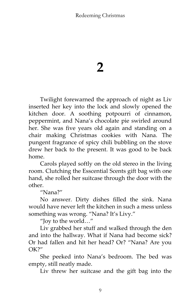### **2**

Twilight forewarned the approach of night as Liv inserted her key into the lock and slowly opened the kitchen door. A soothing potpourri of cinnamon, peppermint, and Nana's chocolate pie swirled around her. She was five years old again and standing on a chair making Christmas cookies with Nana. The pungent fragrance of spicy chili bubbling on the stove drew her back to the present. It was good to be back home.

Carols played softly on the old stereo in the living room. Clutching the Esscential Scents gift bag with one hand, she rolled her suitcase through the door with the other.

'Nana?'

No answer. Dirty dishes filled the sink. Nana would have never left the kitchen in such a mess unless something was wrong. "Nana? It's Livy."

'Joy to the world…'

Liv grabbed her stuff and walked through the den and into the hallway. What if Nana had become sick? Or had fallen and hit her head? Or? 'Nana? Are you  $OK2"$ 

She peeked into Nana's bedroom. The bed was empty, still neatly made.

Liv threw her suitcase and the gift bag into the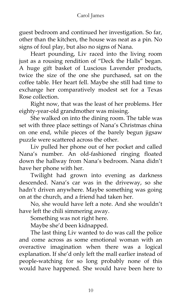#### Carol James

guest bedroom and continued her investigation. So far, other than the kitchen, the house was neat as a pin. No signs of foul play, but also no signs of Nana.

Heart pounding, Liv raced into the living room just as a rousing rendition of "Deck the Halls" began. A huge gift basket of Luscious Lavender products, twice the size of the one she purchased, sat on the coffee table. Her heart fell. Maybe she still had time to exchange her comparatively modest set for a Texas Rose collection.

Right now, that was the least of her problems. Her eighty-year-old grandmother was missing.

She walked on into the dining room. The table was set with three place settings of Nana's Christmas china on one end, while pieces of the barely begun jigsaw puzzle were scattered across the other.

Liv pulled her phone out of her pocket and called Nana's number. An old-fashioned ringing floated down the hallway from Nana's bedroom. Nana didn't have her phone with her.

Twilight had grown into evening as darkness descended. Nana's car was in the driveway, so she hadn't driven anywhere. Maybe something was going on at the church, and a friend had taken her.

No, she would have left a note. And she wouldn't have left the chili simmering away.

Something was not right here.

Maybe she'd been kidnapped.

The last thing Liv wanted to do was call the police and come across as some emotional woman with an overactive imagination when there was a logical explanation. If she'd only left the mall earlier instead of people-watching for so long probably none of this would have happened. She would have been here to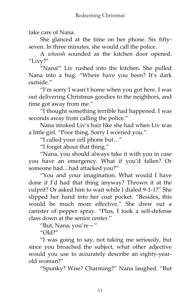take care of Nana.

She glanced at the time on her phone. Six fiftyseven. In three minutes, she would call the police.

A *whoosh* sounded as the kitchen door opened. "Livy?"

'Nana!' Liv rushed into the kitchen. She pulled Nana into a hug. 'Where have you been? It's dark outside"

'I'm sorry I wasn't home when you got here. I was out delivering Christmas goodies to the neighbors, and time got away from me.'

'I thought something terrible had happened. I was seconds away from calling the police."

Nana stroked Liv's hair like she had when Liv was a little girl. 'Poor thing. Sorry I worried you.'

'I called your cell phone but…'

'I forget about that thing.'

'Nana, you should always take it with you in case you have an emergency. What if you'd fallen? Or someone had…had attacked you?'

'You and your imagination. What would I have done if I'd had that thing anyway? Thrown it at the culprit? Or asked him to wait while I dialed 9-1-1?' She slipped her hand into her coat pocket. 'Besides, this would be much more effective.' She drew out a canister of pepper spray. 'Plus, I took a self-defense class down at the senior center.'

'But, Nana, you're—'

 $''$ Old?"

'I was going to say, not taking me seriously, but since you broached the subject, what other adjective would you use to accurately describe an eighty-yearold woman?'

'Spunky? Wise? Charming?' Nana laughed. 'But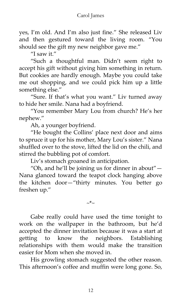yes, I'm old. And I'm also just fine.' She released Liv and then gestured toward the living room. 'You should see the gift my new neighbor gave me.'

"I saw it."

'Such a thoughtful man. Didn't seem right to accept his gift without giving him something in return. But cookies are hardly enough. Maybe you could take me out shopping, and we could pick him up a little something else.'

'Sure. If that's what you want.' Liv turned away to hide her smile. Nana had a boyfriend.

'You remember Mary Lou from church? He's her nephew.'

Ah, a younger boyfriend.

'He bought the Collins' place next door and aims to spruce it up for his mother, Mary Lou's sister.' Nana shuffled over to the stove, lifted the lid on the chili, and stirred the bubbling pot of comfort.

Liv's stomach groaned in anticipation.

"Oh, and he'll be joining us for dinner in about" $-$ Nana glanced toward the teapot clock hanging above the kitchen door—'thirty minutes. You better go freshen up.'

~\*~

Gabe really could have used the time tonight to work on the wallpaper in the bathroom, but he'd accepted the dinner invitation because it was a start at getting to know the neighbors. Establishing relationships with them would make the transition easier for Mom when she moved in.

His growling stomach suggested the other reason. This afternoon's coffee and muffin were long gone. So,